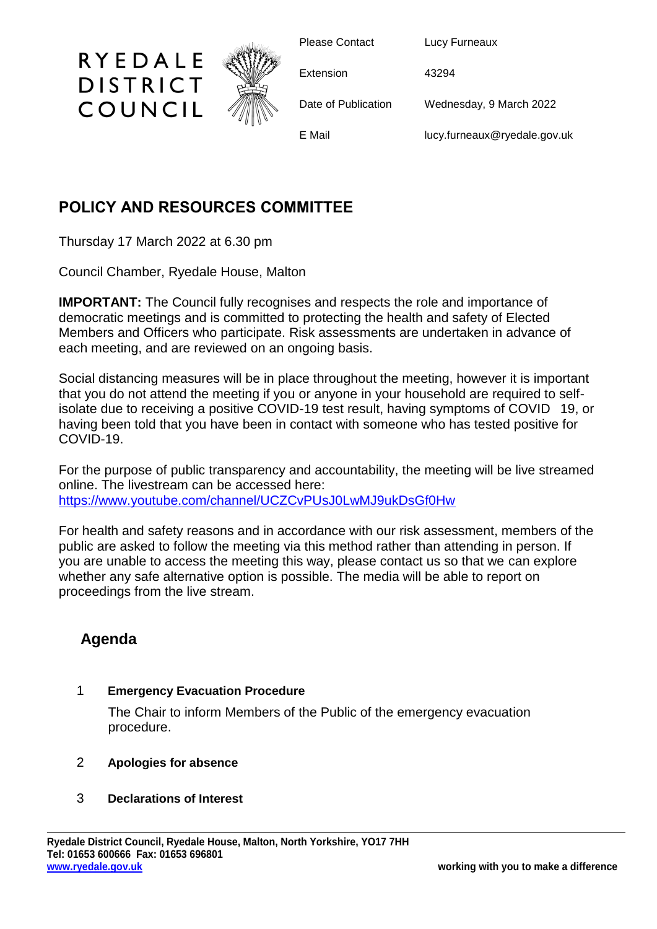

Please Contact Lucy Furneaux

Extension 43294

Date of Publication Wednesday, 9 March 2022

E Mail lucy.furneaux@ryedale.gov.uk

## **POLICY AND RESOURCES COMMITTEE**

Thursday 17 March 2022 at 6.30 pm

RYEDALE

**DISTRICT** 

COUNCIL

Council Chamber, Ryedale House, Malton

**IMPORTANT:** The Council fully recognises and respects the role and importance of democratic meetings and is committed to protecting the health and safety of Elected Members and Officers who participate. Risk assessments are undertaken in advance of each meeting, and are reviewed on an ongoing basis.

Social distancing measures will be in place throughout the meeting, however it is important that you do not attend the meeting if you or anyone in your household are required to selfisolate due to receiving a positive COVID-19 test result, having symptoms of COVID 19, or having been told that you have been in contact with someone who has tested positive for COVID-19.

For the purpose of public transparency and accountability, the meeting will be live streamed online. The livestream can be accessed here: <https://www.youtube.com/channel/UCZCvPUsJ0LwMJ9ukDsGf0Hw>

For health and safety reasons and in accordance with our risk assessment, members of the public are asked to follow the meeting via this method rather than attending in person. If you are unable to access the meeting this way, please contact us so that we can explore whether any safe alternative option is possible. The media will be able to report on proceedings from the live stream.

# **Agenda**

## 1 **Emergency Evacuation Procedure**

The Chair to inform Members of the Public of the emergency evacuation procedure.

## 2 **Apologies for absence**

### 3 **Declarations of Interest**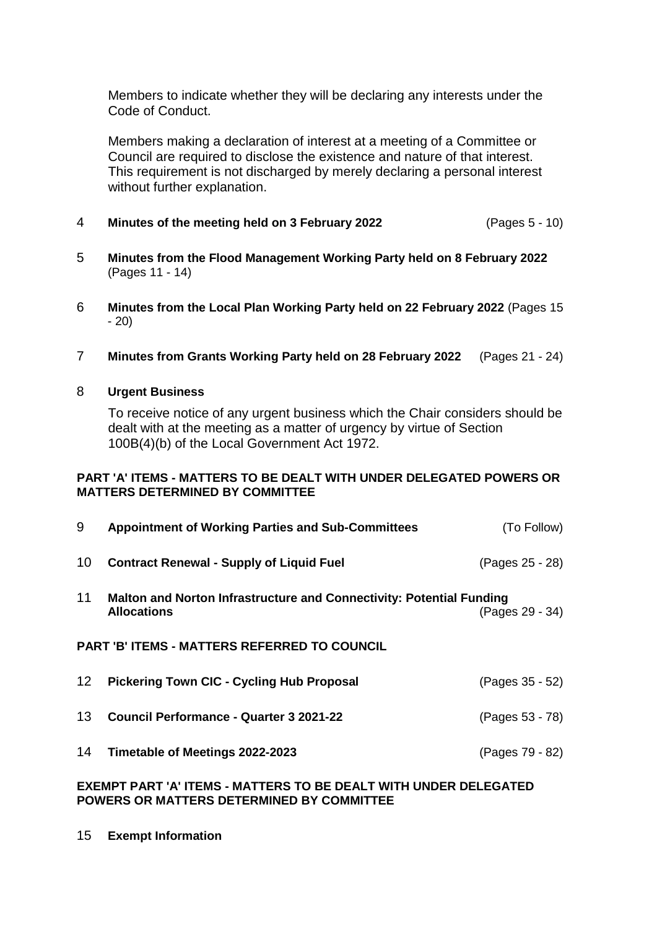Members to indicate whether they will be declaring any interests under the Code of Conduct.

Members making a declaration of interest at a meeting of a Committee or Council are required to disclose the existence and nature of that interest. This requirement is not discharged by merely declaring a personal interest without further explanation.

- 4 **Minutes of the meeting held on 3 February 2022** (Pages 5 10)
- 5 **Minutes from the Flood Management Working Party held on 8 February 2022** (Pages 11 - 14)
- 6 **Minutes from the Local Plan Working Party held on 22 February 2022** (Pages 15 - 20)
- 7 **Minutes from Grants Working Party held on 28 February 2022** (Pages 21 24)

#### 8 **Urgent Business**

To receive notice of any urgent business which the Chair considers should be dealt with at the meeting as a matter of urgency by virtue of Section 100B(4)(b) of the Local Government Act 1972.

#### **PART 'A' ITEMS - MATTERS TO BE DEALT WITH UNDER DELEGATED POWERS OR MATTERS DETERMINED BY COMMITTEE**

| 9                                                                 | <b>Appointment of Working Parties and Sub-Committees</b>                                          | (To Follow)     |  |
|-------------------------------------------------------------------|---------------------------------------------------------------------------------------------------|-----------------|--|
| 10                                                                | <b>Contract Renewal - Supply of Liquid Fuel</b>                                                   | (Pages 25 - 28) |  |
| 11                                                                | <b>Malton and Norton Infrastructure and Connectivity: Potential Funding</b><br><b>Allocations</b> | (Pages 29 - 34) |  |
|                                                                   | <b>PART 'B' ITEMS - MATTERS REFERRED TO COUNCIL</b>                                               |                 |  |
| 12 <sup>2</sup>                                                   | <b>Pickering Town CIC - Cycling Hub Proposal</b>                                                  | (Pages 35 - 52) |  |
| 13                                                                | <b>Council Performance - Quarter 3 2021-22</b>                                                    | (Pages 53 - 78) |  |
| 14                                                                | Timetable of Meetings 2022-2023                                                                   | (Pages 79 - 82) |  |
| EXEMPT PART 'A' ITEMS - MATTERS TO BE DEALT WITH LINDER DELECATED |                                                                                                   |                 |  |

#### **EXEMPT PART 'A' ITEMS - MATTERS TO BE DEALT WITH UNDER DELEGATED POWERS OR MATTERS DETERMINED BY COMMITTEE**

15 **Exempt Information**